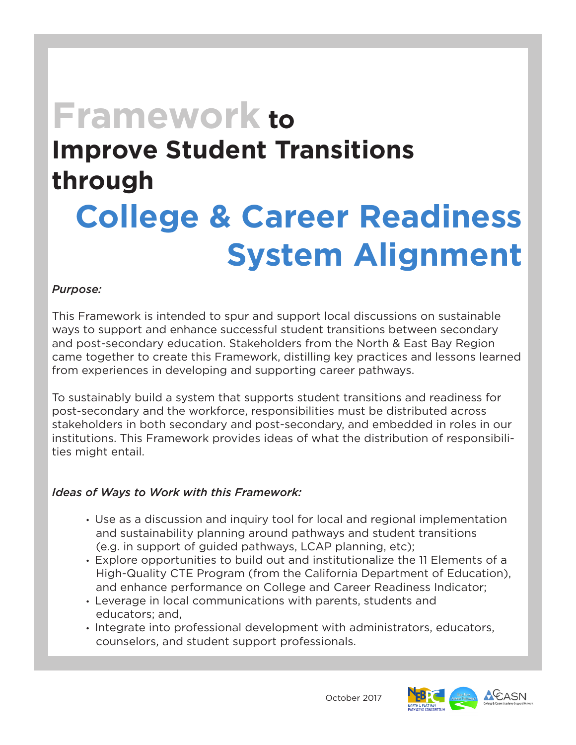# **Framework to Improve Student Transitions through College & Career Readiness System Alignment**

## *Purpose:*

This Framework is intended to spur and support local discussions on sustainable ways to support and enhance successful student transitions between secondary and post-secondary education. Stakeholders from the North & East Bay Region came together to create this Framework, distilling key practices and lessons learned from experiences in developing and supporting career pathways.

To sustainably build a system that supports student transitions and readiness for post-secondary and the workforce, responsibilities must be distributed across stakeholders in both secondary and post-secondary, and embedded in roles in our institutions. This Framework provides ideas of what the distribution of responsibilities might entail.

## *Ideas of Ways to Work with this Framework:*

- Use as a discussion and inquiry tool for local and regional implementation and sustainability planning around pathways and student transitions (e.g. in support of guided pathways, LCAP planning, etc);
- Explore opportunities to build out and institutionalize the 11 Elements of a High-Quality CTE Program (from the California Department of Education), and enhance performance on College and Career Readiness Indicator;
- Leverage in local communications with parents, students and educators; and,
- Integrate into professional development with administrators, educators, counselors, and student support professionals.

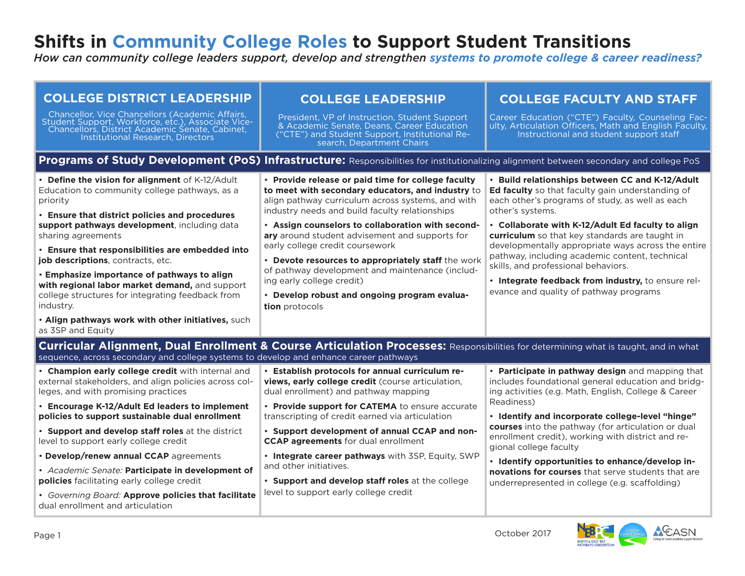# **Shifts in Community College Roles to Support Student Transitions**

*How can community college leaders support, develop and strengthen systems to promote college & career readiness?*

| <b>COLLEGE DISTRICT LEADERSHIP</b>                                                                                                                                                                                                                                                       | <b>COLLEGE LEADERSHIP</b>                                                                                                                                                                                                                                                                                                                                | <b>COLLEGE FACULTY AND STAFF</b>                                                                                                                                                                                                                                                                                                                                                                 |  |  |  |  |
|------------------------------------------------------------------------------------------------------------------------------------------------------------------------------------------------------------------------------------------------------------------------------------------|----------------------------------------------------------------------------------------------------------------------------------------------------------------------------------------------------------------------------------------------------------------------------------------------------------------------------------------------------------|--------------------------------------------------------------------------------------------------------------------------------------------------------------------------------------------------------------------------------------------------------------------------------------------------------------------------------------------------------------------------------------------------|--|--|--|--|
| Chancellor, Vice Chancellors (Academic Affairs,<br>Student Support, Workforce, etc.), Associate Vice-<br>Chancellors, District Academic Senate, Cabinet,<br>Institutional Research, Directors                                                                                            | President, VP of Instruction, Student Support<br>& Academic Senate, Deans, Career Education<br>("CTE") and Student Support, Institutional Re-<br>search, Department Chairs                                                                                                                                                                               | Career Education ("CTE") Faculty, Counseling Fac-<br>ulty, Articulation Officers, Math and English Faculty,<br>Instructional and student support staff                                                                                                                                                                                                                                           |  |  |  |  |
| Programs of Study Development (PoS) Infrastructure: Responsibilities for institutionalizing alignment between secondary and college PoS                                                                                                                                                  |                                                                                                                                                                                                                                                                                                                                                          |                                                                                                                                                                                                                                                                                                                                                                                                  |  |  |  |  |
| • Define the vision for alignment of K-12/Adult<br>Education to community college pathways, as a<br>priority<br>• Ensure that district policies and procedures<br>support pathways development, including data<br>sharing agreements<br>• Ensure that responsibilities are embedded into | • Provide release or paid time for college faculty<br>to meet with secondary educators, and industry to<br>align pathway curriculum across systems, and with<br>industry needs and build faculty relationships<br>• Assign counselors to collaboration with second-<br>ary around student advisement and supports for<br>early college credit coursework | • Build relationships between CC and K-12/Adult<br>Ed faculty so that faculty gain understanding of<br>each other's programs of study, as well as each<br>other's systems.<br>• Collaborate with K-12/Adult Ed faculty to align<br><b>curriculum</b> so that key standards are taught in<br>developmentally appropriate ways across the entire<br>pathway, including academic content, technical |  |  |  |  |
| job descriptions, contracts, etc.<br>• Emphasize importance of pathways to align<br>with regional labor market demand, and support<br>college structures for integrating feedback from<br>industry.<br>. Align pathways work with other initiatives, such                                | • Devote resources to appropriately staff the work<br>of pathway development and maintenance (includ-<br>ing early college credit)<br>• Develop robust and ongoing program evalua-<br>tion protocols                                                                                                                                                     | skills, and professional behaviors.<br>. Integrate feedback from industry, to ensure rel-<br>evance and quality of pathway programs                                                                                                                                                                                                                                                              |  |  |  |  |
| as 3SP and Equity                                                                                                                                                                                                                                                                        |                                                                                                                                                                                                                                                                                                                                                          |                                                                                                                                                                                                                                                                                                                                                                                                  |  |  |  |  |
| sequence, across secondary and college systems to develop and enhance career pathways                                                                                                                                                                                                    | Curricular Alignment, Dual Enrollment & Course Articulation Processes: Responsibilities for determining what is taught, and in what                                                                                                                                                                                                                      |                                                                                                                                                                                                                                                                                                                                                                                                  |  |  |  |  |
| • Champion early college credit with internal and<br>external stakeholders, and align policies across col-<br>leges, and with promising practices                                                                                                                                        | . Establish protocols for annual curriculum re-<br>views, early college credit (course articulation,<br>dual enrollment) and pathway mapping                                                                                                                                                                                                             | • Participate in pathway design and mapping that<br>includes foundational general education and bridg-<br>ing activities (e.g. Math, English, College & Career                                                                                                                                                                                                                                   |  |  |  |  |
| • Encourage K-12/Adult Ed leaders to implement<br>policies to support sustainable dual enrollment                                                                                                                                                                                        | • Provide support for CATEMA to ensure accurate<br>transcripting of credit earned via articulation                                                                                                                                                                                                                                                       | Readiness)<br>. Identify and incorporate college-level "hinge"                                                                                                                                                                                                                                                                                                                                   |  |  |  |  |
| • Support and develop staff roles at the district<br>level to support early college credit                                                                                                                                                                                               | • Support development of annual CCAP and non-<br><b>CCAP agreements</b> for dual enrollment                                                                                                                                                                                                                                                              | courses into the pathway (for articulation or dual<br>enrollment credit), working with district and re-<br>gional college faculty                                                                                                                                                                                                                                                                |  |  |  |  |
| • Develop/renew annual CCAP agreements                                                                                                                                                                                                                                                   | . Integrate career pathways with 3SP, Equity, SWP<br>and other initiatives.                                                                                                                                                                                                                                                                              | · Identify opportunities to enhance/develop in-                                                                                                                                                                                                                                                                                                                                                  |  |  |  |  |
| · Academic Senate: Participate in development of<br>policies facilitating early college credit                                                                                                                                                                                           | • Support and develop staff roles at the college                                                                                                                                                                                                                                                                                                         | novations for courses that serve students that are<br>underrepresented in college (e.g. scaffolding)                                                                                                                                                                                                                                                                                             |  |  |  |  |
| · Governing Board: Approve policies that facilitate<br>dual enrollment and articulation                                                                                                                                                                                                  | level to support early college credit                                                                                                                                                                                                                                                                                                                    |                                                                                                                                                                                                                                                                                                                                                                                                  |  |  |  |  |

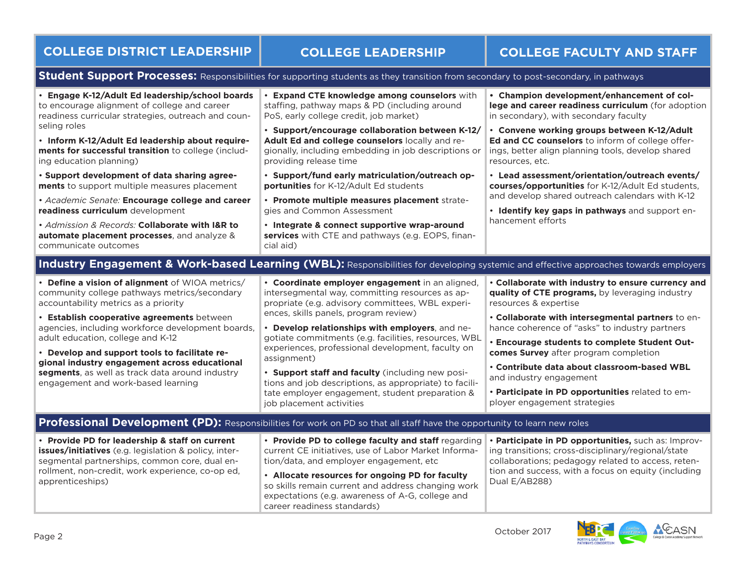# **COLLEGE DISTRICT LEADERSHIP COLLEGE LEADERSHIP COLLEGE FACULTY AND STAFF**

### **Student Support Processes:** Responsibilities for supporting students as they transition from secondary to post-secondary, in pathways

| • Engage K-12/Adult Ed leadership/school boards<br>to encourage alignment of college and career<br>readiness curricular strategies, outreach and coun-<br>seling roles<br>. Inform K-12/Adult Ed leadership about require-<br>ments for successful transition to college (includ-<br>ing education planning)<br>· Support development of data sharing agree-<br>ments to support multiple measures placement<br>• Academic Senate: Encourage college and career<br>readiness curriculum development<br>· Admission & Records: Collaborate with I&R to<br>automate placement processes, and analyze &<br>communicate outcomes | • Expand CTE knowledge among counselors with<br>staffing, pathway maps & PD (including around<br>PoS, early college credit, job market)<br>· Support/encourage collaboration between K-12/<br>Adult Ed and college counselors locally and re-<br>gionally, including embedding in job descriptions or<br>providing release time<br>· Support/fund early matriculation/outreach op-<br>portunities for K-12/Adult Ed students<br>· Promote multiple measures placement strate-<br>gies and Common Assessment<br>• Integrate & connect supportive wrap-around<br>services with CTE and pathways (e.g. EOPS, finan-<br>cial aid)                                                                                       | • Champion development/enhancement of col-<br>lege and career readiness curriculum (for adoption<br>in secondary), with secondary faculty<br>· Convene working groups between K-12/Adult<br>Ed and CC counselors to inform of college offer-<br>ings, better align planning tools, develop shared<br>resources, etc.<br>• Lead assessment/orientation/outreach events/<br>courses/opportunities for K-12/Adult Ed students,<br>and develop shared outreach calendars with K-12<br>· Identify key gaps in pathways and support en-<br>hancement efforts |
|------------------------------------------------------------------------------------------------------------------------------------------------------------------------------------------------------------------------------------------------------------------------------------------------------------------------------------------------------------------------------------------------------------------------------------------------------------------------------------------------------------------------------------------------------------------------------------------------------------------------------|---------------------------------------------------------------------------------------------------------------------------------------------------------------------------------------------------------------------------------------------------------------------------------------------------------------------------------------------------------------------------------------------------------------------------------------------------------------------------------------------------------------------------------------------------------------------------------------------------------------------------------------------------------------------------------------------------------------------|--------------------------------------------------------------------------------------------------------------------------------------------------------------------------------------------------------------------------------------------------------------------------------------------------------------------------------------------------------------------------------------------------------------------------------------------------------------------------------------------------------------------------------------------------------|
| • Define a vision of alignment of WIOA metrics/<br>community college pathways metrics/secondary<br>accountability metrics as a priority<br>• Establish cooperative agreements between<br>agencies, including workforce development boards,<br>adult education, college and K-12<br>• Develop and support tools to facilitate re-<br>gional industry engagement across educational<br>segments, as well as track data around industry<br>engagement and work-based learning                                                                                                                                                   | Industry Engagement & Work-based Learning (WBL): Responsibilities for developing systemic and effective approaches towards employers<br>• Coordinate employer engagement in an aligned,<br>intersegmental way, committing resources as ap-<br>propriate (e.g. advisory committees, WBL experi-<br>ences, skills panels, program review)<br>• Develop relationships with employers, and ne-<br>gotiate commitments (e.g. facilities, resources, WBL<br>experiences, professional development, faculty on<br>assignment)<br>. Support staff and faculty (including new posi-<br>tions and job descriptions, as appropriate) to facili-<br>tate employer engagement, student preparation &<br>job placement activities | • Collaborate with industry to ensure currency and<br>quality of CTE programs, by leveraging industry<br>resources & expertise<br>. Collaborate with intersegmental partners to en-<br>hance coherence of "asks" to industry partners<br>. Encourage students to complete Student Out-<br>comes Survey after program completion<br>. Contribute data about classroom-based WBL<br>and industry engagement<br>. Participate in PD opportunities related to em-<br>ployer engagement strategies                                                          |
| • Provide PD for leadership & staff on current<br>issues/initiatives (e.g. legislation & policy, inter-<br>segmental partnerships, common core, dual en-<br>rollment, non-credit, work experience, co-op ed,<br>apprenticeships)                                                                                                                                                                                                                                                                                                                                                                                             | Professional Development (PD): Responsibilities for work on PD so that all staff have the opportunity to learn new roles<br>• Provide PD to college faculty and staff regarding<br>current CE initiatives, use of Labor Market Informa-<br>tion/data, and employer engagement, etc<br>• Allocate resources for ongoing PD for faculty<br>so skills remain current and address changing work<br>expectations (e.g. awareness of A-G, college and<br>career readiness standards)                                                                                                                                                                                                                                      | • Participate in PD opportunities, such as: Improv-<br>ing transitions; cross-disciplinary/regional/state<br>collaborations; pedagogy related to access, reten-<br>tion and success, with a focus on equity (including<br>Dual E/AB288)                                                                                                                                                                                                                                                                                                                |

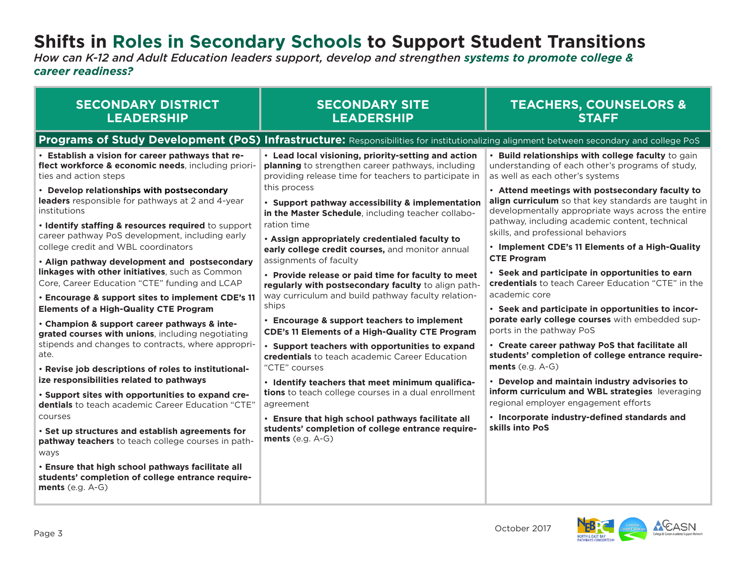# **Shifts in Roles in Secondary Schools to Support Student Transitions**

*How can K-12 and Adult Education leaders support, develop and strengthen systems to promote college & career readiness?*

| <b>SECONDARY DISTRICT</b>                                                                                                                     | <b>SECONDARY SITE</b>                                                                                                                   | <b>TEACHERS, COUNSELORS &amp;</b>                                                                                                                                                                               |
|-----------------------------------------------------------------------------------------------------------------------------------------------|-----------------------------------------------------------------------------------------------------------------------------------------|-----------------------------------------------------------------------------------------------------------------------------------------------------------------------------------------------------------------|
| <b>LEADERSHIP</b>                                                                                                                             | <b>LEADERSHIP</b>                                                                                                                       | <b>STAFF</b>                                                                                                                                                                                                    |
|                                                                                                                                               | Programs of Study Development (PoS) Infrastructure: Responsibilities for institutionalizing alignment between secondary and college PoS |                                                                                                                                                                                                                 |
| • Establish a vision for career pathways that re-                                                                                             | • Lead local visioning, priority-setting and action                                                                                     | • Build relationships with college faculty to gain                                                                                                                                                              |
| flect workforce & economic needs, including priori-                                                                                           | planning to strengthen career pathways, including                                                                                       | understanding of each other's programs of study,                                                                                                                                                                |
| ties and action steps                                                                                                                         | providing release time for teachers to participate in                                                                                   | as well as each other's systems                                                                                                                                                                                 |
| • Develop relationships with postsecondary<br>leaders responsible for pathways at 2 and 4-year<br>institutions                                | this process<br>• Support pathway accessibility & implementation<br>in the Master Schedule, including teacher collabo-                  | • Attend meetings with postsecondary faculty to<br>align curriculum so that key standards are taught in<br>developmentally appropriate ways across the entire<br>pathway, including academic content, technical |
| . Identify staffing & resources required to support<br>career pathway PoS development, including early<br>college credit and WBL coordinators | ration time<br>. Assign appropriately credentialed faculty to<br>early college credit courses, and monitor annual                       | skills, and professional behaviors<br>• Implement CDE's 11 Elements of a High-Quality                                                                                                                           |
| . Align pathway development and postsecondary                                                                                                 | assignments of faculty                                                                                                                  | <b>CTE Program</b>                                                                                                                                                                                              |
| linkages with other initiatives, such as Common                                                                                               | • Provide release or paid time for faculty to meet                                                                                      | • Seek and participate in opportunities to earn                                                                                                                                                                 |
| Core, Career Education "CTE" funding and LCAP                                                                                                 | regularly with postsecondary faculty to align path-                                                                                     | credentials to teach Career Education "CTE" in the                                                                                                                                                              |
| • Encourage & support sites to implement CDE's 11                                                                                             | way curriculum and build pathway faculty relation-                                                                                      | academic core                                                                                                                                                                                                   |
| <b>Elements of a High-Quality CTE Program</b>                                                                                                 | ships                                                                                                                                   | . Seek and participate in opportunities to incor-                                                                                                                                                               |
| • Champion & support career pathways & inte-                                                                                                  | • Encourage & support teachers to implement                                                                                             | porate early college courses with embedded sup-                                                                                                                                                                 |
| grated courses with unions, including negotiating                                                                                             | <b>CDE's 11 Elements of a High-Quality CTE Program</b>                                                                                  | ports in the pathway PoS                                                                                                                                                                                        |
| stipends and changes to contracts, where appropri-                                                                                            | • Support teachers with opportunities to expand                                                                                         | • Create career pathway PoS that facilitate all                                                                                                                                                                 |
| ate.                                                                                                                                          | credentials to teach academic Career Education                                                                                          | students' completion of college entrance require-                                                                                                                                                               |
| . Revise job descriptions of roles to institutional-                                                                                          | "CTE" courses                                                                                                                           | ments $(e.g. A-G)$                                                                                                                                                                                              |
| ize responsibilities related to pathways                                                                                                      | · Identify teachers that meet minimum qualifica-                                                                                        | • Develop and maintain industry advisories to                                                                                                                                                                   |
| . Support sites with opportunities to expand cre-                                                                                             | tions to teach college courses in a dual enrollment                                                                                     | inform curriculum and WBL strategies leveraging                                                                                                                                                                 |
| dentials to teach academic Career Education "CTE"                                                                                             | agreement                                                                                                                               | regional employer engagement efforts                                                                                                                                                                            |
| courses<br>. Set up structures and establish agreements for<br>pathway teachers to teach college courses in path-<br>ways                     | . Ensure that high school pathways facilitate all<br>students' completion of college entrance require-<br>$ments$ (e.g. $A-G$ )         | • Incorporate industry-defined standards and<br>skills into PoS                                                                                                                                                 |
| . Ensure that high school pathways facilitate all<br>students' completion of college entrance require-<br>$ments$ (e.g. $A-G$ )               |                                                                                                                                         |                                                                                                                                                                                                                 |

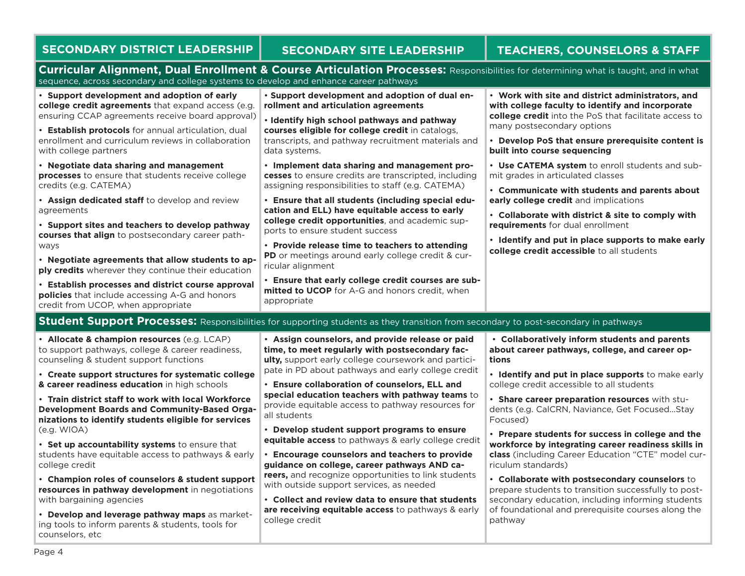|                                                                                                                                                                                                                              | <b>SECONDARY DISTRICT LEADERSHIP</b>                                                                                                                  | <b>SECONDARY SITE LEADERSHIP</b>                                                                                                      | <b>TEACHERS, COUNSELORS &amp; STAFF</b>                                                                                                                        |  |
|------------------------------------------------------------------------------------------------------------------------------------------------------------------------------------------------------------------------------|-------------------------------------------------------------------------------------------------------------------------------------------------------|---------------------------------------------------------------------------------------------------------------------------------------|----------------------------------------------------------------------------------------------------------------------------------------------------------------|--|
| Curricular Alignment, Dual Enrollment & Course Articulation Processes: Responsibilities for determining what is taught, and in what<br>sequence, across secondary and college systems to develop and enhance career pathways |                                                                                                                                                       |                                                                                                                                       |                                                                                                                                                                |  |
|                                                                                                                                                                                                                              | • Support development and adoption of early<br>college credit agreements that expand access (e.g.<br>ensuring CCAP agreements receive board approval) | . Support development and adoption of dual en-<br>rollment and articulation agreements<br>· Identify high school pathways and pathway | • Work with site and district administrators, and<br>with college faculty to identify and incorporate<br>college credit into the PoS that facilitate access to |  |

data systems.

ricular alignment

appropriate

• **Establish protocols** for annual articulation, dual enrollment and curriculum reviews in collaboration with college partners

• **Negotiate data sharing and management processes** to ensure that students receive college credits (e.g. CATEMA)

• **Assign dedicated staff** to develop and review agreements

• **Support sites and teachers to develop pathway courses that align** to postsecondary career pathways

• **Negotiate agreements that allow students to apply credits** wherever they continue their education

• **Establish processes and district course approval policies** that include accessing A-G and honors credit from UCOP, when appropriate

**Student Support Processes:** Responsibilities for supporting students as they transition from secondary to post-secondary in pathways

ports to ensure student success

• **Allocate & champion resources** (e.g. LCAP) to support pathways, college & career readiness, counseling & student support functions

• **Create support structures for systematic college & career readiness education** in high schools

• **Train district staff to work with local Workforce Development Boards and Community-Based Organizations to identify students eligible for services** (e.g. WIOA)

• **Set up accountability systems** to ensure that students have equitable access to pathways & early college credit

• **Champion roles of counselors & student support resources in pathway development** in negotiations with bargaining agencies

• **Develop and leverage pathway maps** as marketing tools to inform parents & students, tools for counselors, etc

• **Assign counselors, and provide release or paid time, to meet regularly with postsecondary faculty,** support early college coursework and participate in PD about pathways and early college credit

**courses eligible for college credit** in catalogs, transcripts, and pathway recruitment materials and

• **Implement data sharing and management processes** to ensure credits are transcripted, including assigning responsibilities to staff (e.g. CATEMA) • **Ensure that all students (including special education and ELL) have equitable access to early college credit opportunities**, and academic sup-

• **Provide release time to teachers to attending PD** or meetings around early college credit & cur-

• **Ensure that early college credit courses are submitted to UCOP** for A-G and honors credit, when

• **Ensure collaboration of counselors, ELL and special education teachers with pathway teams** to provide equitable access to pathway resources for all students

• **Develop student support programs to ensure equitable access** to pathways & early college credit

• **Encourage counselors and teachers to provide guidance on college, career pathways AND careers,** and recognize opportunities to link students with outside support services, as needed

• **Collect and review data to ensure that students are receiving equitable access** to pathways & early college credit

 • **Collaboratively inform students and parents about career pathways, college, and career options**

• **Identify and put in place supports** to make early college credit accessible to all students

• **Share career preparation resources** with students (e.g. CalCRN, Naviance, Get Focused...Stay Focused)

• **Prepare students for success in college and the workforce by integrating career readiness skills in class** (including Career Education "CTE" model curriculum standards)

• **Collaborate with postsecondary counselors** to prepare students to transition successfully to postsecondary education, including informing students of foundational and prerequisite courses along the pathway

## **SELORS & STAFF**

• **Develop PoS that ensure prerequisite content is** 

• **Use CATEMA system** to enroll students and sub-

• **Communicate with students and parents about** 

• **Collaborate with district & site to comply with** 

• **Identify and put in place supports to make early** 

many postsecondary options

**built into course sequencing**

mit grades in articulated classes

**requirements** for dual enrollment

**early college credit** and implications

**college credit accessible** to all students